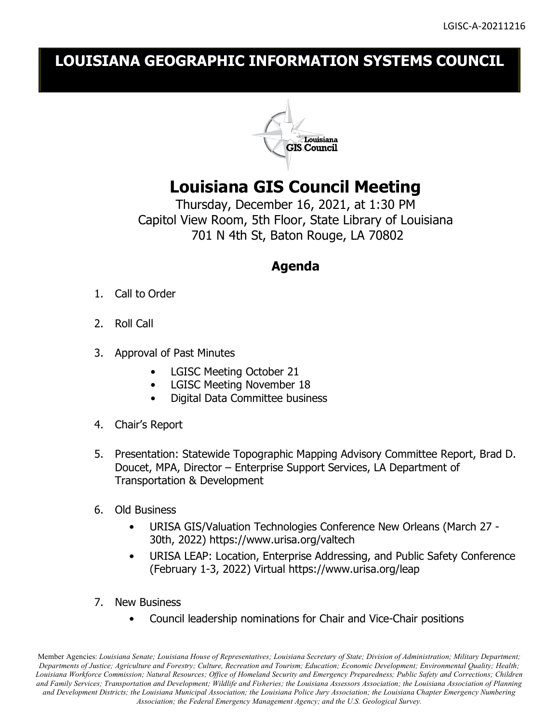## **LOUISIANA GEOGRAPHIC INFORMATION SYSTEMS COUNCIL**



## **Louisiana GIS Council Meeting**

Thursday, December 16, 2021, at 1:30 PM Capitol View Room, 5th Floor, State Library of Louisiana 701 N 4th St, Baton Rouge, LA 70802

## **Agenda**

- 1. Call to Order
- 2. Roll Call
- 3. Approval of Past Minutes
	- LGISC Meeting October 21
	- LGISC Meeting November 18
	- Digital Data Committee business
- 4. Chair's Report
- 5. Presentation: Statewide Topographic Mapping Advisory Committee Report, Brad D. Doucet, MPA, Director – Enterprise Support Services, LA Department of Transportation & Development
- 6. Old Business
	- URISA GIS/Valuation Technologies Conference New Orleans (March 27 30th, 2022) https://www.urisa.org/valtech
	- URISA LEAP: Location, Enterprise Addressing, and Public Safety Conference (February 1-3, 2022) Virtual https://www.urisa.org/leap
- 7. New Business
	- Council leadership nominations for Chair and Vice-Chair positions

Member Agencies: *Louisiana Senate; Louisiana House of Representatives; Louisiana Secretary of State; Division of Administration; Military Department; Departments of Justice; Agriculture and Forestry; Culture, Recreation and Tourism; Education; Economic Development; Environmental Quality; Health; Louisiana Workforce Commission; Natural Resources; Office of Homeland Security and Emergency Preparedness; Public Safety and Corrections; Children and Family Services; Transportation and Development; Wildlife and Fisheries; the Louisiana Assessors Association; the Louisiana Association of Planning and Development Districts; the Louisiana Municipal Association; the Louisiana Police Jury Association; the Louisiana Chapter Emergency Numbering Association; the Federal Emergency Management Agency; and the U.S. Geological Survey.*